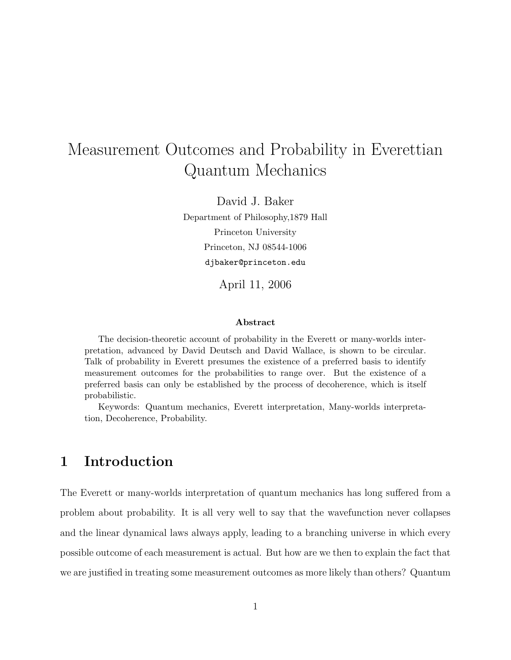# Measurement Outcomes and Probability in Everettian Quantum Mechanics

David J. Baker Department of Philosophy,1879 Hall Princeton University Princeton, NJ 08544-1006 djbaker@princeton.edu

April 11, 2006

#### Abstract

The decision-theoretic account of probability in the Everett or many-worlds interpretation, advanced by David Deutsch and David Wallace, is shown to be circular. Talk of probability in Everett presumes the existence of a preferred basis to identify measurement outcomes for the probabilities to range over. But the existence of a preferred basis can only be established by the process of decoherence, which is itself probabilistic.

Keywords: Quantum mechanics, Everett interpretation, Many-worlds interpretation, Decoherence, Probability.

# 1 Introduction

The Everett or many-worlds interpretation of quantum mechanics has long suffered from a problem about probability. It is all very well to say that the wavefunction never collapses and the linear dynamical laws always apply, leading to a branching universe in which every possible outcome of each measurement is actual. But how are we then to explain the fact that we are justified in treating some measurement outcomes as more likely than others? Quantum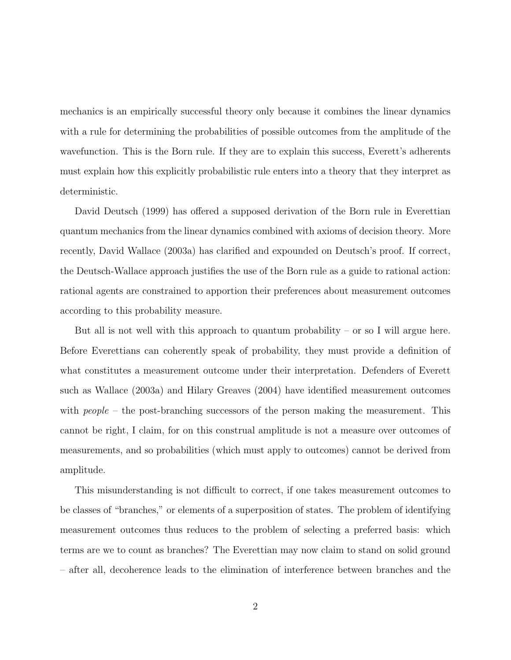mechanics is an empirically successful theory only because it combines the linear dynamics with a rule for determining the probabilities of possible outcomes from the amplitude of the wavefunction. This is the Born rule. If they are to explain this success, Everett's adherents must explain how this explicitly probabilistic rule enters into a theory that they interpret as deterministic.

David Deutsch (1999) has offered a supposed derivation of the Born rule in Everettian quantum mechanics from the linear dynamics combined with axioms of decision theory. More recently, David Wallace (2003a) has clarified and expounded on Deutsch's proof. If correct, the Deutsch-Wallace approach justifies the use of the Born rule as a guide to rational action: rational agents are constrained to apportion their preferences about measurement outcomes according to this probability measure.

But all is not well with this approach to quantum probability – or so I will argue here. Before Everettians can coherently speak of probability, they must provide a definition of what constitutes a measurement outcome under their interpretation. Defenders of Everett such as Wallace (2003a) and Hilary Greaves (2004) have identified measurement outcomes with  $people$  – the post-branching successors of the person making the measurement. This cannot be right, I claim, for on this construal amplitude is not a measure over outcomes of measurements, and so probabilities (which must apply to outcomes) cannot be derived from amplitude.

This misunderstanding is not difficult to correct, if one takes measurement outcomes to be classes of "branches," or elements of a superposition of states. The problem of identifying measurement outcomes thus reduces to the problem of selecting a preferred basis: which terms are we to count as branches? The Everettian may now claim to stand on solid ground – after all, decoherence leads to the elimination of interference between branches and the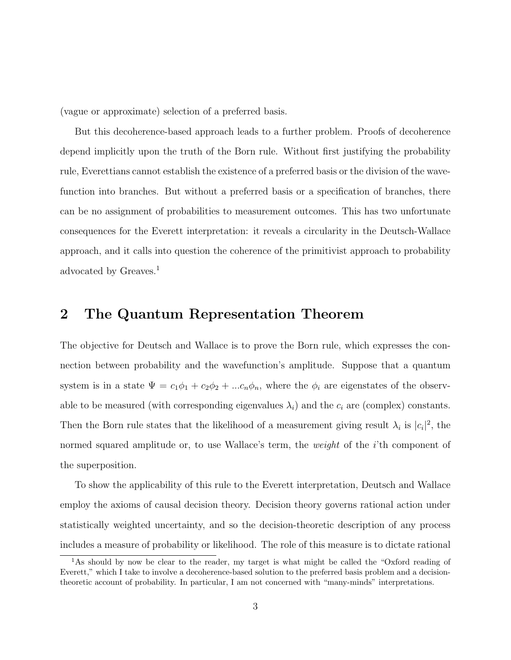(vague or approximate) selection of a preferred basis.

But this decoherence-based approach leads to a further problem. Proofs of decoherence depend implicitly upon the truth of the Born rule. Without first justifying the probability rule, Everettians cannot establish the existence of a preferred basis or the division of the wavefunction into branches. But without a preferred basis or a specification of branches, there can be no assignment of probabilities to measurement outcomes. This has two unfortunate consequences for the Everett interpretation: it reveals a circularity in the Deutsch-Wallace approach, and it calls into question the coherence of the primitivist approach to probability advocated by Greaves.<sup>1</sup>

# 2 The Quantum Representation Theorem

The objective for Deutsch and Wallace is to prove the Born rule, which expresses the connection between probability and the wavefunction's amplitude. Suppose that a quantum system is in a state  $\Psi = c_1\phi_1 + c_2\phi_2 + ... c_n\phi_n$ , where the  $\phi_i$  are eigenstates of the observable to be measured (with corresponding eigenvalues  $\lambda_i$ ) and the  $c_i$  are (complex) constants. Then the Born rule states that the likelihood of a measurement giving result  $\lambda_i$  is  $|c_i|^2$ , the normed squared amplitude or, to use Wallace's term, the *weight* of the *i*'th component of the superposition.

To show the applicability of this rule to the Everett interpretation, Deutsch and Wallace employ the axioms of causal decision theory. Decision theory governs rational action under statistically weighted uncertainty, and so the decision-theoretic description of any process includes a measure of probability or likelihood. The role of this measure is to dictate rational

<sup>&</sup>lt;sup>1</sup>As should by now be clear to the reader, my target is what might be called the "Oxford reading of Everett," which I take to involve a decoherence-based solution to the preferred basis problem and a decisiontheoretic account of probability. In particular, I am not concerned with "many-minds" interpretations.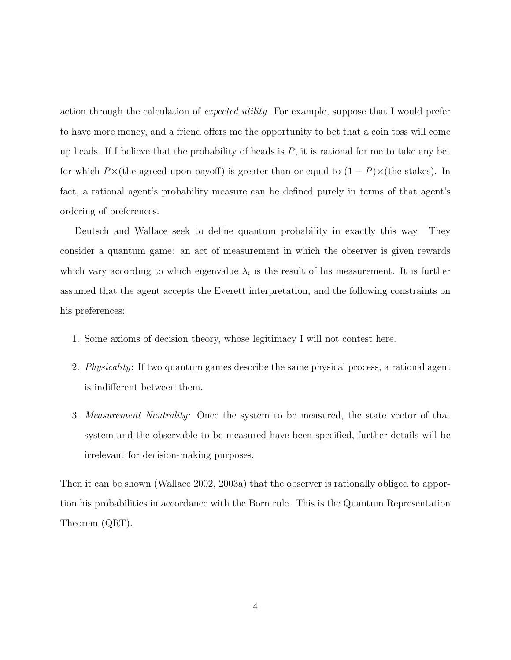action through the calculation of expected utility. For example, suppose that I would prefer to have more money, and a friend offers me the opportunity to bet that a coin toss will come up heads. If I believe that the probability of heads is  $P$ , it is rational for me to take any bet for which  $P\times$ (the agreed-upon payoff) is greater than or equal to  $(1 - P)\times$ (the stakes). In fact, a rational agent's probability measure can be defined purely in terms of that agent's ordering of preferences.

Deutsch and Wallace seek to define quantum probability in exactly this way. They consider a quantum game: an act of measurement in which the observer is given rewards which vary according to which eigenvalue  $\lambda_i$  is the result of his measurement. It is further assumed that the agent accepts the Everett interpretation, and the following constraints on his preferences:

- 1. Some axioms of decision theory, whose legitimacy I will not contest here.
- 2. Physicality: If two quantum games describe the same physical process, a rational agent is indifferent between them.
- 3. Measurement Neutrality: Once the system to be measured, the state vector of that system and the observable to be measured have been specified, further details will be irrelevant for decision-making purposes.

Then it can be shown (Wallace 2002, 2003a) that the observer is rationally obliged to apportion his probabilities in accordance with the Born rule. This is the Quantum Representation Theorem (QRT).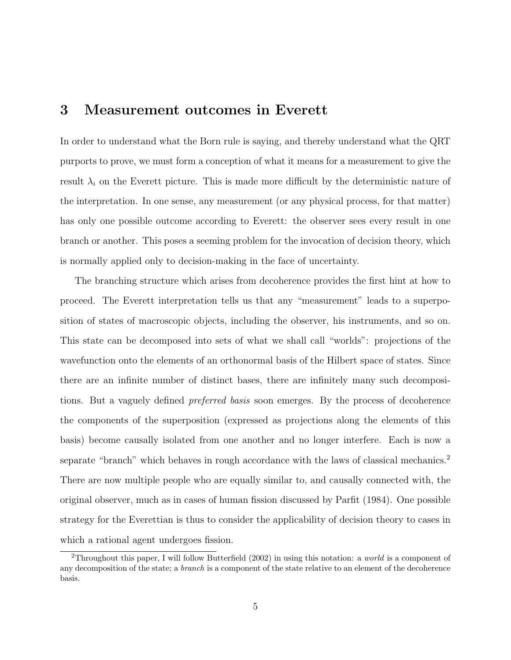### 3 Measurement outcomes in Everett

In order to understand what the Born rule is saying, and thereby understand what the QRT purports to prove, we must form a conception of what it means for a measurement to give the result  $\lambda_i$  on the Everett picture. This is made more difficult by the deterministic nature of the interpretation. In one sense, any measurement (or any physical process, for that matter) has only one possible outcome according to Everett: the observer sees every result in one branch or another. This poses a seeming problem for the invocation of decision theory, which is normally applied only to decision-making in the face of uncertainty.

The branching structure which arises from decoherence provides the first hint at how to proceed. The Everett interpretation tells us that any "measurement" leads to a superposition of states of macroscopic objects, including the observer, his instruments, and so on. This state can be decomposed into sets of what we shall call "worlds": projections of the wavefunction onto the elements of an orthonormal basis of the Hilbert space of states. Since there are an infinite number of distinct bases, there are infinitely many such decompositions. But a vaguely defined preferred basis soon emerges. By the process of decoherence the components of the superposition (expressed as projections along the elements of this basis) become causally isolated from one another and no longer interfere. Each is now a separate "branch" which behaves in rough accordance with the laws of classical mechanics.<sup>2</sup> There are now multiple people who are equally similar to, and causally connected with, the original observer, much as in cases of human fission discussed by Parfit (1984). One possible strategy for the Everettian is thus to consider the applicability of decision theory to cases in which a rational agent undergoes fission.

<sup>&</sup>lt;sup>2</sup>Throughout this paper, I will follow Butterfield (2002) in using this notation: a *world* is a component of any decomposition of the state; a *branch* is a component of the state relative to an element of the decoherence basis.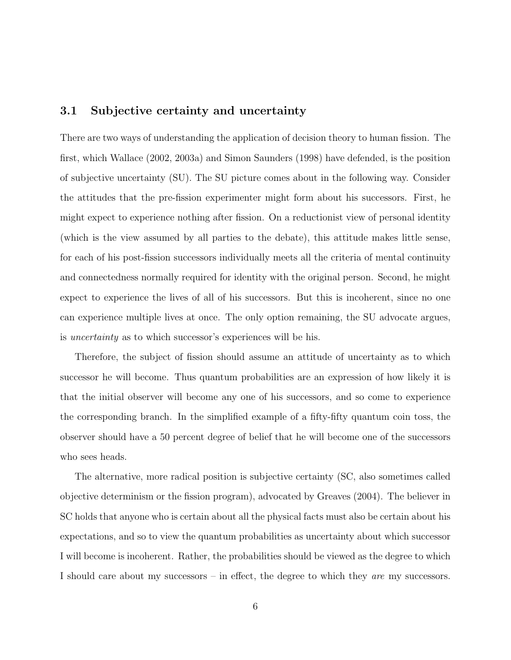#### 3.1 Subjective certainty and uncertainty

There are two ways of understanding the application of decision theory to human fission. The first, which Wallace (2002, 2003a) and Simon Saunders (1998) have defended, is the position of subjective uncertainty (SU). The SU picture comes about in the following way. Consider the attitudes that the pre-fission experimenter might form about his successors. First, he might expect to experience nothing after fission. On a reductionist view of personal identity (which is the view assumed by all parties to the debate), this attitude makes little sense, for each of his post-fission successors individually meets all the criteria of mental continuity and connectedness normally required for identity with the original person. Second, he might expect to experience the lives of all of his successors. But this is incoherent, since no one can experience multiple lives at once. The only option remaining, the SU advocate argues, is uncertainty as to which successor's experiences will be his.

Therefore, the subject of fission should assume an attitude of uncertainty as to which successor he will become. Thus quantum probabilities are an expression of how likely it is that the initial observer will become any one of his successors, and so come to experience the corresponding branch. In the simplified example of a fifty-fifty quantum coin toss, the observer should have a 50 percent degree of belief that he will become one of the successors who sees heads.

The alternative, more radical position is subjective certainty (SC, also sometimes called objective determinism or the fission program), advocated by Greaves (2004). The believer in SC holds that anyone who is certain about all the physical facts must also be certain about his expectations, and so to view the quantum probabilities as uncertainty about which successor I will become is incoherent. Rather, the probabilities should be viewed as the degree to which I should care about my successors – in effect, the degree to which they are my successors.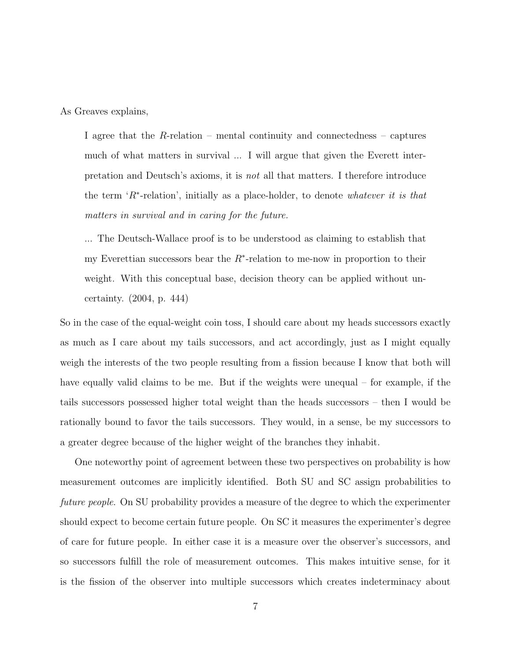As Greaves explains,

I agree that the R-relation – mental continuity and connectedness – captures much of what matters in survival ... I will argue that given the Everett interpretation and Deutsch's axioms, it is not all that matters. I therefore introduce the term ' $R^*$ -relation', initially as a place-holder, to denote whatever it is that matters in survival and in caring for the future.

... The Deutsch-Wallace proof is to be understood as claiming to establish that my Everettian successors bear the  $R^*$ -relation to me-now in proportion to their weight. With this conceptual base, decision theory can be applied without uncertainty. (2004, p. 444)

So in the case of the equal-weight coin toss, I should care about my heads successors exactly as much as I care about my tails successors, and act accordingly, just as I might equally weigh the interests of the two people resulting from a fission because I know that both will have equally valid claims to be me. But if the weights were unequal – for example, if the tails successors possessed higher total weight than the heads successors – then I would be rationally bound to favor the tails successors. They would, in a sense, be my successors to a greater degree because of the higher weight of the branches they inhabit.

One noteworthy point of agreement between these two perspectives on probability is how measurement outcomes are implicitly identified. Both SU and SC assign probabilities to future people. On SU probability provides a measure of the degree to which the experimenter should expect to become certain future people. On SC it measures the experimenter's degree of care for future people. In either case it is a measure over the observer's successors, and so successors fulfill the role of measurement outcomes. This makes intuitive sense, for it is the fission of the observer into multiple successors which creates indeterminacy about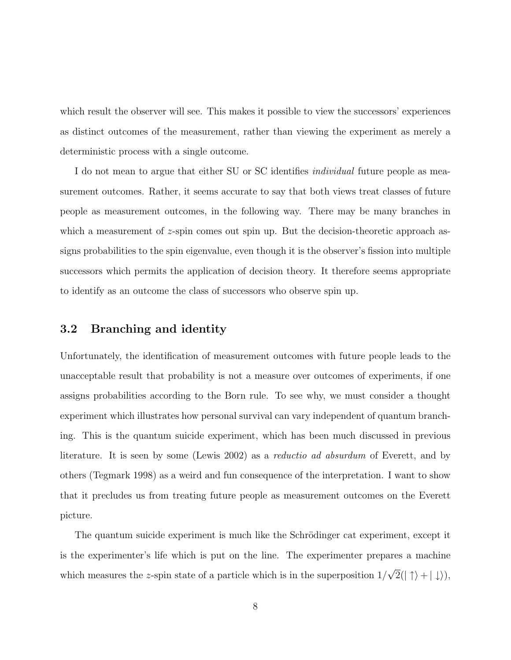which result the observer will see. This makes it possible to view the successors' experiences as distinct outcomes of the measurement, rather than viewing the experiment as merely a deterministic process with a single outcome.

I do not mean to argue that either SU or SC identifies *individual* future people as measurement outcomes. Rather, it seems accurate to say that both views treat classes of future people as measurement outcomes, in the following way. There may be many branches in which a measurement of  $z$ -spin comes out spin up. But the decision-theoretic approach assigns probabilities to the spin eigenvalue, even though it is the observer's fission into multiple successors which permits the application of decision theory. It therefore seems appropriate to identify as an outcome the class of successors who observe spin up.

#### 3.2 Branching and identity

Unfortunately, the identification of measurement outcomes with future people leads to the unacceptable result that probability is not a measure over outcomes of experiments, if one assigns probabilities according to the Born rule. To see why, we must consider a thought experiment which illustrates how personal survival can vary independent of quantum branching. This is the quantum suicide experiment, which has been much discussed in previous literature. It is seen by some (Lewis 2002) as a reductio ad absurdum of Everett, and by others (Tegmark 1998) as a weird and fun consequence of the interpretation. I want to show that it precludes us from treating future people as measurement outcomes on the Everett picture.

The quantum suicide experiment is much like the Schrödinger cat experiment, except it is the experimenter's life which is put on the line. The experimenter prepares a machine which measures the z-spin state of a particle which is in the superposition  $1/$ √  $2(| \uparrow \rangle + | \downarrow \rangle),$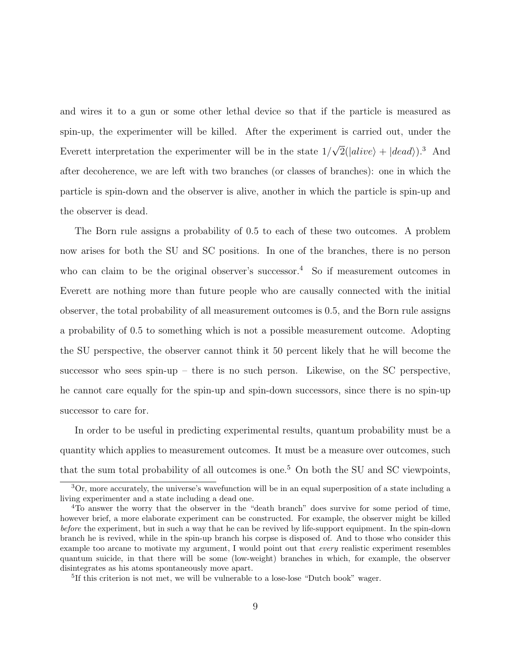and wires it to a gun or some other lethal device so that if the particle is measured as spin-up, the experimenter will be killed. After the experiment is carried out, under the Everett interpretation the experimenter will be in the state 1/ √  $\overline{2}(|alive\rangle + |dead\rangle).$ <sup>3</sup> And after decoherence, we are left with two branches (or classes of branches): one in which the particle is spin-down and the observer is alive, another in which the particle is spin-up and the observer is dead.

The Born rule assigns a probability of 0.5 to each of these two outcomes. A problem now arises for both the SU and SC positions. In one of the branches, there is no person who can claim to be the original observer's successor.<sup>4</sup> So if measurement outcomes in Everett are nothing more than future people who are causally connected with the initial observer, the total probability of all measurement outcomes is 0.5, and the Born rule assigns a probability of 0.5 to something which is not a possible measurement outcome. Adopting the SU perspective, the observer cannot think it 50 percent likely that he will become the successor who sees spin-up – there is no such person. Likewise, on the SC perspective, he cannot care equally for the spin-up and spin-down successors, since there is no spin-up successor to care for.

In order to be useful in predicting experimental results, quantum probability must be a quantity which applies to measurement outcomes. It must be a measure over outcomes, such that the sum total probability of all outcomes is one.<sup>5</sup> On both the SU and SC viewpoints,

 $3$ Or, more accurately, the universe's wavefunction will be in an equal superposition of a state including a living experimenter and a state including a dead one.

<sup>4</sup>To answer the worry that the observer in the "death branch" does survive for some period of time, however brief, a more elaborate experiment can be constructed. For example, the observer might be killed before the experiment, but in such a way that he can be revived by life-support equipment. In the spin-down branch he is revived, while in the spin-up branch his corpse is disposed of. And to those who consider this example too arcane to motivate my argument, I would point out that every realistic experiment resembles quantum suicide, in that there will be some (low-weight) branches in which, for example, the observer disintegrates as his atoms spontaneously move apart.

<sup>&</sup>lt;sup>5</sup>If this criterion is not met, we will be vulnerable to a lose-lose "Dutch book" wager.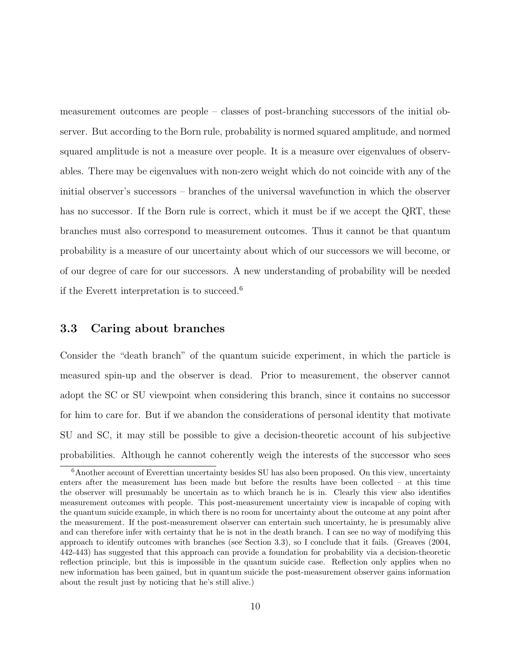measurement outcomes are people – classes of post-branching successors of the initial observer. But according to the Born rule, probability is normed squared amplitude, and normed squared amplitude is not a measure over people. It is a measure over eigenvalues of observables. There may be eigenvalues with non-zero weight which do not coincide with any of the initial observer's successors – branches of the universal wavefunction in which the observer has no successor. If the Born rule is correct, which it must be if we accept the QRT, these branches must also correspond to measurement outcomes. Thus it cannot be that quantum probability is a measure of our uncertainty about which of our successors we will become, or of our degree of care for our successors. A new understanding of probability will be needed if the Everett interpretation is to succeed.<sup>6</sup>

#### 3.3 Caring about branches

Consider the "death branch" of the quantum suicide experiment, in which the particle is measured spin-up and the observer is dead. Prior to measurement, the observer cannot adopt the SC or SU viewpoint when considering this branch, since it contains no successor for him to care for. But if we abandon the considerations of personal identity that motivate SU and SC, it may still be possible to give a decision-theoretic account of his subjective probabilities. Although he cannot coherently weigh the interests of the successor who sees

<sup>6</sup>Another account of Everettian uncertainty besides SU has also been proposed. On this view, uncertainty enters after the measurement has been made but before the results have been collected – at this time the observer will presumably be uncertain as to which branch he is in. Clearly this view also identifies measurement outcomes with people. This post-measurement uncertainty view is incapable of coping with the quantum suicide example, in which there is no room for uncertainty about the outcome at any point after the measurement. If the post-measurement observer can entertain such uncertainty, he is presumably alive and can therefore infer with certainty that he is not in the death branch. I can see no way of modifying this approach to identify outcomes with branches (see Section 3.3), so I conclude that it fails. (Greaves (2004, 442-443) has suggested that this approach can provide a foundation for probability via a decision-theoretic reflection principle, but this is impossible in the quantum suicide case. Reflection only applies when no new information has been gained, but in quantum suicide the post-measurement observer gains information about the result just by noticing that he's still alive.)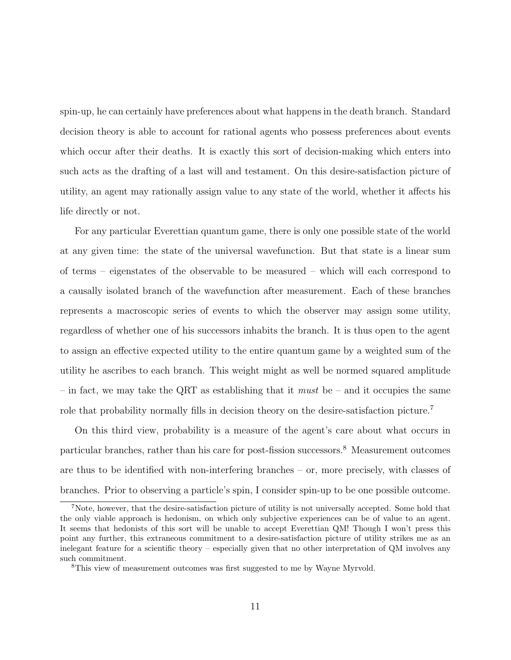spin-up, he can certainly have preferences about what happens in the death branch. Standard decision theory is able to account for rational agents who possess preferences about events which occur after their deaths. It is exactly this sort of decision-making which enters into such acts as the drafting of a last will and testament. On this desire-satisfaction picture of utility, an agent may rationally assign value to any state of the world, whether it affects his life directly or not.

For any particular Everettian quantum game, there is only one possible state of the world at any given time: the state of the universal wavefunction. But that state is a linear sum of terms – eigenstates of the observable to be measured – which will each correspond to a causally isolated branch of the wavefunction after measurement. Each of these branches represents a macroscopic series of events to which the observer may assign some utility, regardless of whether one of his successors inhabits the branch. It is thus open to the agent to assign an effective expected utility to the entire quantum game by a weighted sum of the utility he ascribes to each branch. This weight might as well be normed squared amplitude – in fact, we may take the QRT as establishing that it *must* be – and it occupies the same role that probability normally fills in decision theory on the desire-satisfaction picture.<sup>7</sup>

On this third view, probability is a measure of the agent's care about what occurs in particular branches, rather than his care for post-fission successors.<sup>8</sup> Measurement outcomes are thus to be identified with non-interfering branches – or, more precisely, with classes of branches. Prior to observing a particle's spin, I consider spin-up to be one possible outcome.

<sup>7</sup>Note, however, that the desire-satisfaction picture of utility is not universally accepted. Some hold that the only viable approach is hedonism, on which only subjective experiences can be of value to an agent. It seems that hedonists of this sort will be unable to accept Everettian QM! Though I won't press this point any further, this extraneous commitment to a desire-satisfaction picture of utility strikes me as an inelegant feature for a scientific theory – especially given that no other interpretation of QM involves any such commitment.

<sup>8</sup>This view of measurement outcomes was first suggested to me by Wayne Myrvold.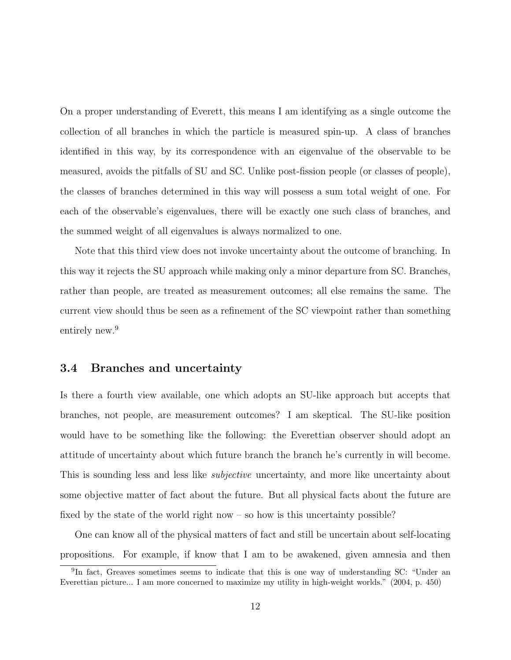On a proper understanding of Everett, this means I am identifying as a single outcome the collection of all branches in which the particle is measured spin-up. A class of branches identified in this way, by its correspondence with an eigenvalue of the observable to be measured, avoids the pitfalls of SU and SC. Unlike post-fission people (or classes of people), the classes of branches determined in this way will possess a sum total weight of one. For each of the observable's eigenvalues, there will be exactly one such class of branches, and the summed weight of all eigenvalues is always normalized to one.

Note that this third view does not invoke uncertainty about the outcome of branching. In this way it rejects the SU approach while making only a minor departure from SC. Branches, rather than people, are treated as measurement outcomes; all else remains the same. The current view should thus be seen as a refinement of the SC viewpoint rather than something entirely new.<sup>9</sup>

#### 3.4 Branches and uncertainty

Is there a fourth view available, one which adopts an SU-like approach but accepts that branches, not people, are measurement outcomes? I am skeptical. The SU-like position would have to be something like the following: the Everettian observer should adopt an attitude of uncertainty about which future branch the branch he's currently in will become. This is sounding less and less like *subjective* uncertainty, and more like uncertainty about some objective matter of fact about the future. But all physical facts about the future are fixed by the state of the world right now – so how is this uncertainty possible?

One can know all of the physical matters of fact and still be uncertain about self-locating propositions. For example, if know that I am to be awakened, given amnesia and then

<sup>&</sup>lt;sup>9</sup>In fact, Greaves sometimes seems to indicate that this is one way of understanding SC: "Under an Everettian picture... I am more concerned to maximize my utility in high-weight worlds." (2004, p. 450)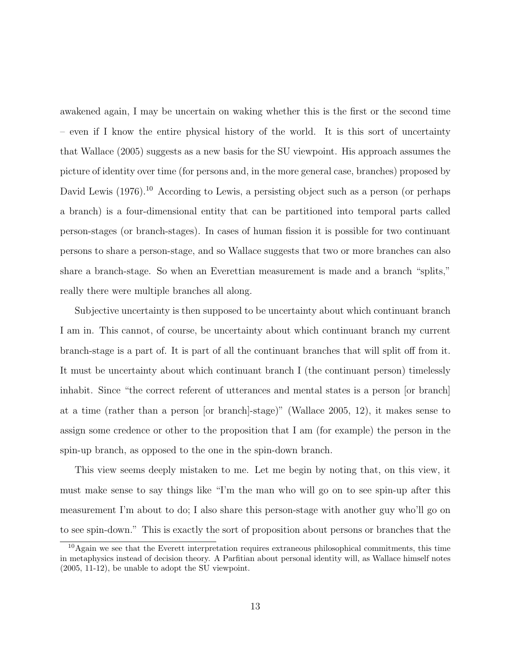awakened again, I may be uncertain on waking whether this is the first or the second time – even if I know the entire physical history of the world. It is this sort of uncertainty that Wallace (2005) suggests as a new basis for the SU viewpoint. His approach assumes the picture of identity over time (for persons and, in the more general case, branches) proposed by David Lewis (1976).<sup>10</sup> According to Lewis, a persisting object such as a person (or perhaps a branch) is a four-dimensional entity that can be partitioned into temporal parts called person-stages (or branch-stages). In cases of human fission it is possible for two continuant persons to share a person-stage, and so Wallace suggests that two or more branches can also share a branch-stage. So when an Everettian measurement is made and a branch "splits," really there were multiple branches all along.

Subjective uncertainty is then supposed to be uncertainty about which continuant branch I am in. This cannot, of course, be uncertainty about which continuant branch my current branch-stage is a part of. It is part of all the continuant branches that will split off from it. It must be uncertainty about which continuant branch I (the continuant person) timelessly inhabit. Since "the correct referent of utterances and mental states is a person [or branch] at a time (rather than a person [or branch]-stage)" (Wallace 2005, 12), it makes sense to assign some credence or other to the proposition that I am (for example) the person in the spin-up branch, as opposed to the one in the spin-down branch.

This view seems deeply mistaken to me. Let me begin by noting that, on this view, it must make sense to say things like "I'm the man who will go on to see spin-up after this measurement I'm about to do; I also share this person-stage with another guy who'll go on to see spin-down." This is exactly the sort of proposition about persons or branches that the

<sup>10</sup>Again we see that the Everett interpretation requires extraneous philosophical commitments, this time in metaphysics instead of decision theory. A Parfitian about personal identity will, as Wallace himself notes (2005, 11-12), be unable to adopt the SU viewpoint.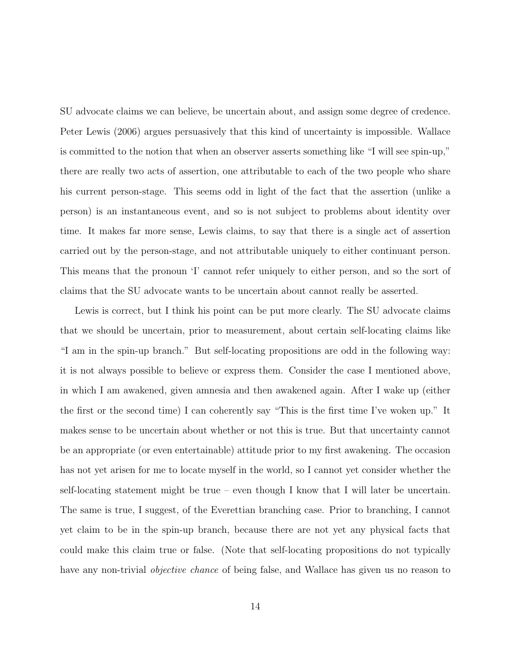SU advocate claims we can believe, be uncertain about, and assign some degree of credence. Peter Lewis (2006) argues persuasively that this kind of uncertainty is impossible. Wallace is committed to the notion that when an observer asserts something like "I will see spin-up," there are really two acts of assertion, one attributable to each of the two people who share his current person-stage. This seems odd in light of the fact that the assertion (unlike a person) is an instantaneous event, and so is not subject to problems about identity over time. It makes far more sense, Lewis claims, to say that there is a single act of assertion carried out by the person-stage, and not attributable uniquely to either continuant person. This means that the pronoun 'I' cannot refer uniquely to either person, and so the sort of claims that the SU advocate wants to be uncertain about cannot really be asserted.

Lewis is correct, but I think his point can be put more clearly. The SU advocate claims that we should be uncertain, prior to measurement, about certain self-locating claims like "I am in the spin-up branch." But self-locating propositions are odd in the following way: it is not always possible to believe or express them. Consider the case I mentioned above, in which I am awakened, given amnesia and then awakened again. After I wake up (either the first or the second time) I can coherently say "This is the first time I've woken up." It makes sense to be uncertain about whether or not this is true. But that uncertainty cannot be an appropriate (or even entertainable) attitude prior to my first awakening. The occasion has not yet arisen for me to locate myself in the world, so I cannot yet consider whether the self-locating statement might be true – even though I know that I will later be uncertain. The same is true, I suggest, of the Everettian branching case. Prior to branching, I cannot yet claim to be in the spin-up branch, because there are not yet any physical facts that could make this claim true or false. (Note that self-locating propositions do not typically have any non-trivial *objective chance* of being false, and Wallace has given us no reason to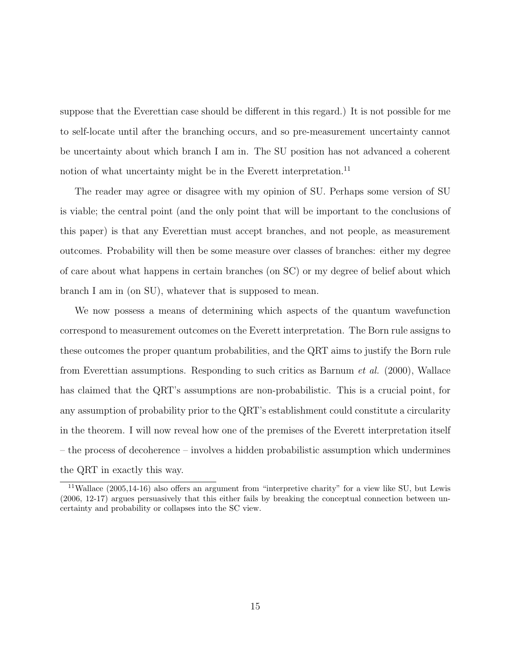suppose that the Everettian case should be different in this regard.) It is not possible for me to self-locate until after the branching occurs, and so pre-measurement uncertainty cannot be uncertainty about which branch I am in. The SU position has not advanced a coherent notion of what uncertainty might be in the Everett interpretation.<sup>11</sup>

The reader may agree or disagree with my opinion of SU. Perhaps some version of SU is viable; the central point (and the only point that will be important to the conclusions of this paper) is that any Everettian must accept branches, and not people, as measurement outcomes. Probability will then be some measure over classes of branches: either my degree of care about what happens in certain branches (on SC) or my degree of belief about which branch I am in (on SU), whatever that is supposed to mean.

We now possess a means of determining which aspects of the quantum wavefunction correspond to measurement outcomes on the Everett interpretation. The Born rule assigns to these outcomes the proper quantum probabilities, and the QRT aims to justify the Born rule from Everettian assumptions. Responding to such critics as Barnum et al. (2000), Wallace has claimed that the QRT's assumptions are non-probabilistic. This is a crucial point, for any assumption of probability prior to the QRT's establishment could constitute a circularity in the theorem. I will now reveal how one of the premises of the Everett interpretation itself – the process of decoherence – involves a hidden probabilistic assumption which undermines the QRT in exactly this way.

<sup>11</sup>Wallace (2005,14-16) also offers an argument from "interpretive charity" for a view like SU, but Lewis (2006, 12-17) argues persuasively that this either fails by breaking the conceptual connection between uncertainty and probability or collapses into the SC view.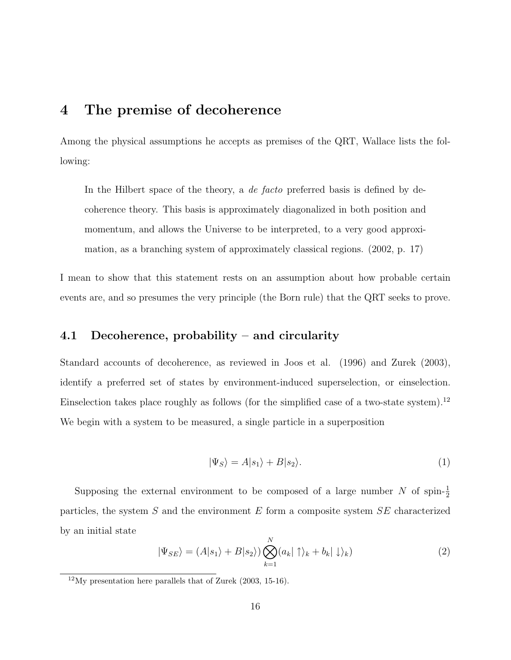# 4 The premise of decoherence

Among the physical assumptions he accepts as premises of the QRT, Wallace lists the following:

In the Hilbert space of the theory, a *de facto* preferred basis is defined by decoherence theory. This basis is approximately diagonalized in both position and momentum, and allows the Universe to be interpreted, to a very good approximation, as a branching system of approximately classical regions. (2002, p. 17)

I mean to show that this statement rests on an assumption about how probable certain events are, and so presumes the very principle (the Born rule) that the QRT seeks to prove.

# 4.1 Decoherence, probability – and circularity

Standard accounts of decoherence, as reviewed in Joos et al. (1996) and Zurek (2003), identify a preferred set of states by environment-induced superselection, or einselection. Einselection takes place roughly as follows (for the simplified case of a two-state system).<sup>12</sup> We begin with a system to be measured, a single particle in a superposition

$$
|\Psi_S\rangle = A|s_1\rangle + B|s_2\rangle. \tag{1}
$$

Supposing the external environment to be composed of a large number N of spin- $\frac{1}{2}$ particles, the system  $S$  and the environment  $E$  form a composite system  $SE$  characterized by an initial state

$$
|\Psi_{SE}\rangle = (A|s_1\rangle + B|s_2\rangle)\bigotimes_{k=1}^{N} (a_k|\uparrow\rangle_k + b_k|\downarrow\rangle_k)
$$
 (2)

 $12\text{My presentation}$  here parallels that of Zurek (2003, 15-16).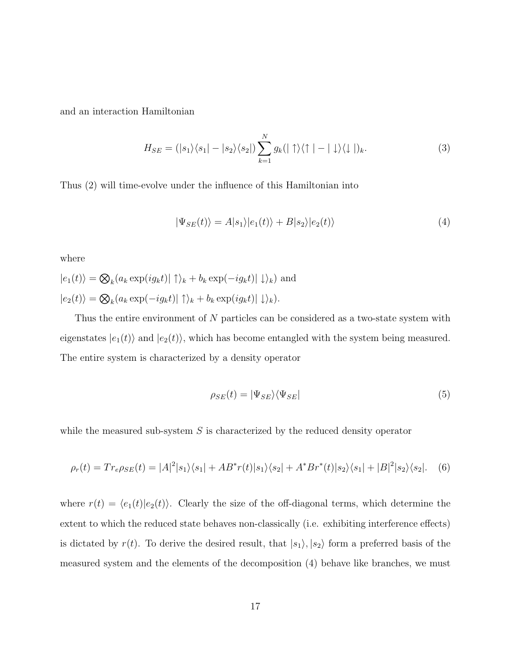and an interaction Hamiltonian

$$
H_{SE} = (|s_1\rangle\langle s_1| - |s_2\rangle\langle s_2|) \sum_{k=1}^{N} g_k(|\uparrow\rangle\langle\uparrow| - |\downarrow\rangle\langle\downarrow|)_k. \tag{3}
$$

Thus (2) will time-evolve under the influence of this Hamiltonian into

$$
|\Psi_{SE}(t)\rangle = A|s_1\rangle|e_1(t)\rangle + B|s_2\rangle|e_2(t)\rangle
$$
\n(4)

where

$$
|e_1(t)\rangle = \bigotimes_k (a_k \exp(ig_k t) | \uparrow\rangle_k + b_k \exp(-ig_k t) | \downarrow\rangle_k)
$$
 and  
 $|e_2(t)\rangle = \bigotimes_k (a_k \exp(-ig_k t) | \uparrow\rangle_k + b_k \exp(ig_k t) | \downarrow\rangle_k).$ 

Thus the entire environment of N particles can be considered as a two-state system with eigenstates  $|e_1(t)\rangle$  and  $|e_2(t)\rangle$ , which has become entangled with the system being measured. The entire system is characterized by a density operator

$$
\rho_{SE}(t) = |\Psi_{SE}\rangle\langle\Psi_{SE}| \tag{5}
$$

while the measured sub-system  $S$  is characterized by the reduced density operator

$$
\rho_r(t) = Tr_e \rho_{SE}(t) = |A|^2 |s_1\rangle\langle s_1| + AB^* r(t) |s_1\rangle\langle s_2| + A^* B r^*(t) |s_2\rangle\langle s_1| + |B|^2 |s_2\rangle\langle s_2|.
$$
 (6)

where  $r(t) = \langle e_1(t)|e_2(t)\rangle$ . Clearly the size of the off-diagonal terms, which determine the extent to which the reduced state behaves non-classically (i.e. exhibiting interference effects) is dictated by  $r(t)$ . To derive the desired result, that  $|s_1\rangle, |s_2\rangle$  form a preferred basis of the measured system and the elements of the decomposition (4) behave like branches, we must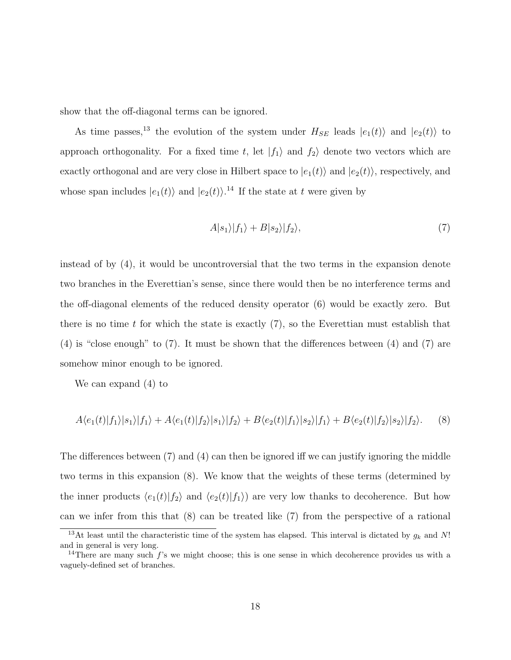show that the off-diagonal terms can be ignored.

As time passes,<sup>13</sup> the evolution of the system under  $H_{SE}$  leads  $|e_1(t)\rangle$  and  $|e_2(t)\rangle$  to approach orthogonality. For a fixed time t, let  $|f_1\rangle$  and  $f_2\rangle$  denote two vectors which are exactly orthogonal and are very close in Hilbert space to  $|e_1(t)\rangle$  and  $|e_2(t)\rangle$ , respectively, and whose span includes  $|e_1(t)\rangle$  and  $|e_2(t)\rangle$ .<sup>14</sup> If the state at t were given by

$$
A|s_1\rangle|f_1\rangle + B|s_2\rangle|f_2\rangle,\tag{7}
$$

instead of by (4), it would be uncontroversial that the two terms in the expansion denote two branches in the Everettian's sense, since there would then be no interference terms and the off-diagonal elements of the reduced density operator (6) would be exactly zero. But there is no time t for which the state is exactly  $(7)$ , so the Everettian must establish that (4) is "close enough" to (7). It must be shown that the differences between (4) and (7) are somehow minor enough to be ignored.

We can expand (4) to

$$
A\langle e_1(t)|f_1\rangle|s_1\rangle|f_1\rangle + A\langle e_1(t)|f_2\rangle|s_1\rangle|f_2\rangle + B\langle e_2(t)|f_1\rangle|s_2\rangle|f_1\rangle + B\langle e_2(t)|f_2\rangle|s_2\rangle|f_2\rangle.
$$
 (8)

The differences between (7) and (4) can then be ignored iff we can justify ignoring the middle two terms in this expansion (8). We know that the weights of these terms (determined by the inner products  $\langle e_1(t)|f_2\rangle$  and  $\langle e_2(t)|f_1\rangle$  are very low thanks to decoherence. But how can we infer from this that (8) can be treated like (7) from the perspective of a rational

<sup>&</sup>lt;sup>13</sup>At least until the characteristic time of the system has elapsed. This interval is dictated by  $g_k$  and N! and in general is very long.

<sup>&</sup>lt;sup>14</sup>There are many such  $f$ 's we might choose; this is one sense in which decoherence provides us with a vaguely-defined set of branches.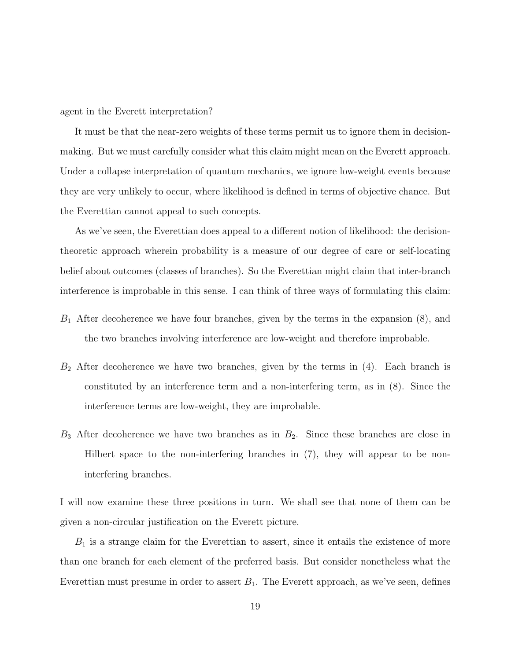agent in the Everett interpretation?

It must be that the near-zero weights of these terms permit us to ignore them in decisionmaking. But we must carefully consider what this claim might mean on the Everett approach. Under a collapse interpretation of quantum mechanics, we ignore low-weight events because they are very unlikely to occur, where likelihood is defined in terms of objective chance. But the Everettian cannot appeal to such concepts.

As we've seen, the Everettian does appeal to a different notion of likelihood: the decisiontheoretic approach wherein probability is a measure of our degree of care or self-locating belief about outcomes (classes of branches). So the Everettian might claim that inter-branch interference is improbable in this sense. I can think of three ways of formulating this claim:

- $B_1$  After decoherence we have four branches, given by the terms in the expansion  $(8)$ , and the two branches involving interference are low-weight and therefore improbable.
- $B_2$  After decoherence we have two branches, given by the terms in (4). Each branch is constituted by an interference term and a non-interfering term, as in (8). Since the interference terms are low-weight, they are improbable.
- $B_3$  After decoherence we have two branches as in  $B_2$ . Since these branches are close in Hilbert space to the non-interfering branches in (7), they will appear to be noninterfering branches.

I will now examine these three positions in turn. We shall see that none of them can be given a non-circular justification on the Everett picture.

 $B_1$  is a strange claim for the Everettian to assert, since it entails the existence of more than one branch for each element of the preferred basis. But consider nonetheless what the Everettian must presume in order to assert  $B_1$ . The Everett approach, as we've seen, defines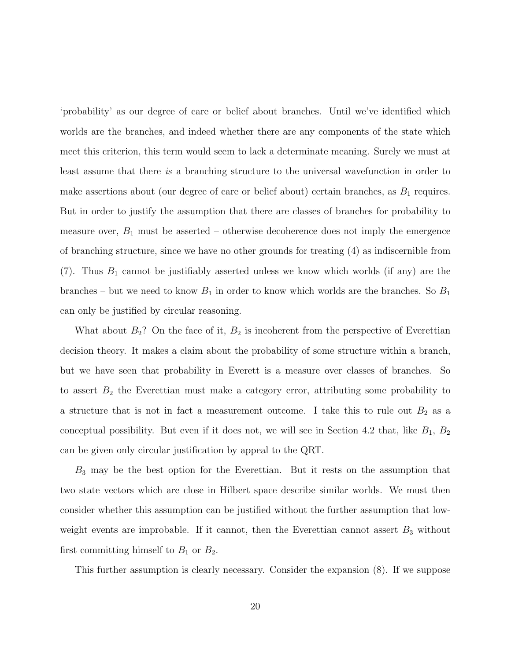'probability' as our degree of care or belief about branches. Until we've identified which worlds are the branches, and indeed whether there are any components of the state which meet this criterion, this term would seem to lack a determinate meaning. Surely we must at least assume that there is a branching structure to the universal wavefunction in order to make assertions about (our degree of care or belief about) certain branches, as  $B_1$  requires. But in order to justify the assumption that there are classes of branches for probability to measure over,  $B_1$  must be asserted – otherwise decoherence does not imply the emergence of branching structure, since we have no other grounds for treating (4) as indiscernible from (7). Thus  $B_1$  cannot be justifiably asserted unless we know which worlds (if any) are the branches – but we need to know  $B_1$  in order to know which worlds are the branches. So  $B_1$ can only be justified by circular reasoning.

What about  $B_2$ ? On the face of it,  $B_2$  is incoherent from the perspective of Everettian decision theory. It makes a claim about the probability of some structure within a branch, but we have seen that probability in Everett is a measure over classes of branches. So to assert  $B_2$  the Everettian must make a category error, attributing some probability to a structure that is not in fact a measurement outcome. I take this to rule out  $B_2$  as a conceptual possibility. But even if it does not, we will see in Section 4.2 that, like  $B_1, B_2$ can be given only circular justification by appeal to the QRT.

 $B_3$  may be the best option for the Everettian. But it rests on the assumption that two state vectors which are close in Hilbert space describe similar worlds. We must then consider whether this assumption can be justified without the further assumption that lowweight events are improbable. If it cannot, then the Everettian cannot assert  $B_3$  without first committing himself to  $B_1$  or  $B_2$ .

This further assumption is clearly necessary. Consider the expansion (8). If we suppose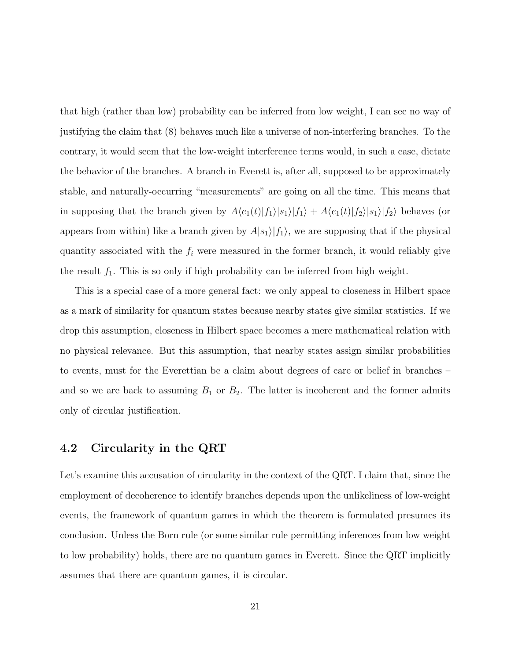that high (rather than low) probability can be inferred from low weight, I can see no way of justifying the claim that (8) behaves much like a universe of non-interfering branches. To the contrary, it would seem that the low-weight interference terms would, in such a case, dictate the behavior of the branches. A branch in Everett is, after all, supposed to be approximately stable, and naturally-occurring "measurements" are going on all the time. This means that in supposing that the branch given by  $A\langle e_1(t)|f_1\rangle|s_1\rangle|f_1\rangle + A\langle e_1(t)|f_2\rangle|s_1\rangle|f_2\rangle$  behaves (or appears from within) like a branch given by  $A|s_1\rangle|f_1\rangle$ , we are supposing that if the physical quantity associated with the  $f_i$  were measured in the former branch, it would reliably give the result  $f_1$ . This is so only if high probability can be inferred from high weight.

This is a special case of a more general fact: we only appeal to closeness in Hilbert space as a mark of similarity for quantum states because nearby states give similar statistics. If we drop this assumption, closeness in Hilbert space becomes a mere mathematical relation with no physical relevance. But this assumption, that nearby states assign similar probabilities to events, must for the Everettian be a claim about degrees of care or belief in branches – and so we are back to assuming  $B_1$  or  $B_2$ . The latter is incoherent and the former admits only of circular justification.

#### 4.2 Circularity in the QRT

Let's examine this accusation of circularity in the context of the QRT. I claim that, since the employment of decoherence to identify branches depends upon the unlikeliness of low-weight events, the framework of quantum games in which the theorem is formulated presumes its conclusion. Unless the Born rule (or some similar rule permitting inferences from low weight to low probability) holds, there are no quantum games in Everett. Since the QRT implicitly assumes that there are quantum games, it is circular.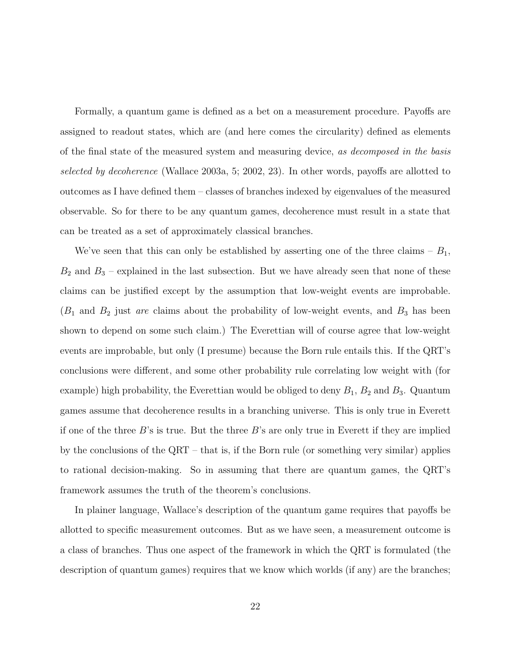Formally, a quantum game is defined as a bet on a measurement procedure. Payoffs are assigned to readout states, which are (and here comes the circularity) defined as elements of the final state of the measured system and measuring device, as decomposed in the basis selected by decoherence (Wallace 2003a, 5; 2002, 23). In other words, payoffs are allotted to outcomes as I have defined them – classes of branches indexed by eigenvalues of the measured observable. So for there to be any quantum games, decoherence must result in a state that can be treated as a set of approximately classical branches.

We've seen that this can only be established by asserting one of the three claims  $- B_1$ ,  $B_2$  and  $B_3$  – explained in the last subsection. But we have already seen that none of these claims can be justified except by the assumption that low-weight events are improbable.  $(B_1 \text{ and } B_2 \text{ just are claims about the probability of low-weight events, and } B_3 \text{ has been}$ shown to depend on some such claim.) The Everettian will of course agree that low-weight events are improbable, but only (I presume) because the Born rule entails this. If the QRT's conclusions were different, and some other probability rule correlating low weight with (for example) high probability, the Everettian would be obliged to deny  $B_1$ ,  $B_2$  and  $B_3$ . Quantum games assume that decoherence results in a branching universe. This is only true in Everett if one of the three  $B$ 's is true. But the three  $B$ 's are only true in Everett if they are implied by the conclusions of the QRT – that is, if the Born rule (or something very similar) applies to rational decision-making. So in assuming that there are quantum games, the QRT's framework assumes the truth of the theorem's conclusions.

In plainer language, Wallace's description of the quantum game requires that payoffs be allotted to specific measurement outcomes. But as we have seen, a measurement outcome is a class of branches. Thus one aspect of the framework in which the QRT is formulated (the description of quantum games) requires that we know which worlds (if any) are the branches;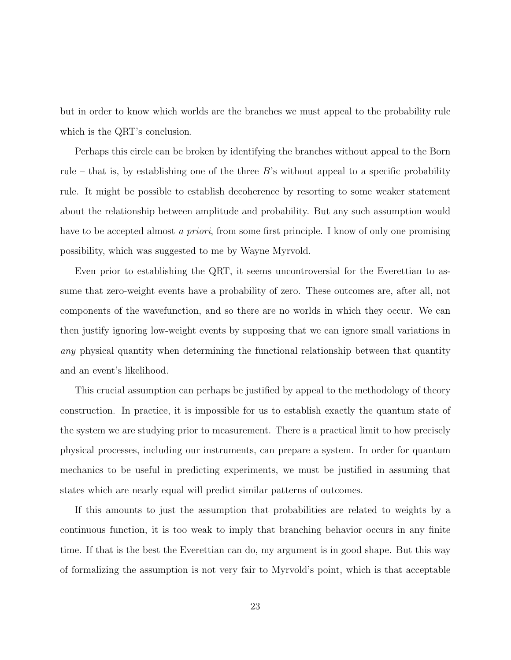but in order to know which worlds are the branches we must appeal to the probability rule which is the QRT's conclusion.

Perhaps this circle can be broken by identifying the branches without appeal to the Born rule – that is, by establishing one of the three  $B$ 's without appeal to a specific probability rule. It might be possible to establish decoherence by resorting to some weaker statement about the relationship between amplitude and probability. But any such assumption would have to be accepted almost a priori, from some first principle. I know of only one promising possibility, which was suggested to me by Wayne Myrvold.

Even prior to establishing the QRT, it seems uncontroversial for the Everettian to assume that zero-weight events have a probability of zero. These outcomes are, after all, not components of the wavefunction, and so there are no worlds in which they occur. We can then justify ignoring low-weight events by supposing that we can ignore small variations in any physical quantity when determining the functional relationship between that quantity and an event's likelihood.

This crucial assumption can perhaps be justified by appeal to the methodology of theory construction. In practice, it is impossible for us to establish exactly the quantum state of the system we are studying prior to measurement. There is a practical limit to how precisely physical processes, including our instruments, can prepare a system. In order for quantum mechanics to be useful in predicting experiments, we must be justified in assuming that states which are nearly equal will predict similar patterns of outcomes.

If this amounts to just the assumption that probabilities are related to weights by a continuous function, it is too weak to imply that branching behavior occurs in any finite time. If that is the best the Everettian can do, my argument is in good shape. But this way of formalizing the assumption is not very fair to Myrvold's point, which is that acceptable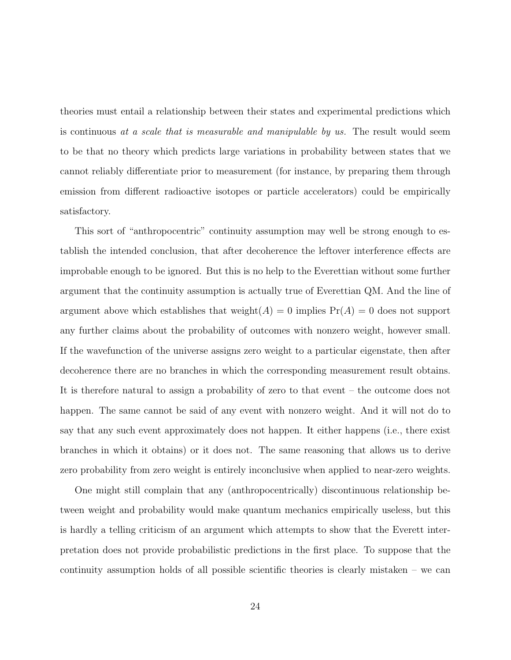theories must entail a relationship between their states and experimental predictions which is continuous at a scale that is measurable and manipulable by us. The result would seem to be that no theory which predicts large variations in probability between states that we cannot reliably differentiate prior to measurement (for instance, by preparing them through emission from different radioactive isotopes or particle accelerators) could be empirically satisfactory.

This sort of "anthropocentric" continuity assumption may well be strong enough to establish the intended conclusion, that after decoherence the leftover interference effects are improbable enough to be ignored. But this is no help to the Everettian without some further argument that the continuity assumption is actually true of Everettian QM. And the line of argument above which establishes that weight( $A$ ) = 0 implies  $Pr(A) = 0$  does not support any further claims about the probability of outcomes with nonzero weight, however small. If the wavefunction of the universe assigns zero weight to a particular eigenstate, then after decoherence there are no branches in which the corresponding measurement result obtains. It is therefore natural to assign a probability of zero to that event – the outcome does not happen. The same cannot be said of any event with nonzero weight. And it will not do to say that any such event approximately does not happen. It either happens (i.e., there exist branches in which it obtains) or it does not. The same reasoning that allows us to derive zero probability from zero weight is entirely inconclusive when applied to near-zero weights.

One might still complain that any (anthropocentrically) discontinuous relationship between weight and probability would make quantum mechanics empirically useless, but this is hardly a telling criticism of an argument which attempts to show that the Everett interpretation does not provide probabilistic predictions in the first place. To suppose that the continuity assumption holds of all possible scientific theories is clearly mistaken – we can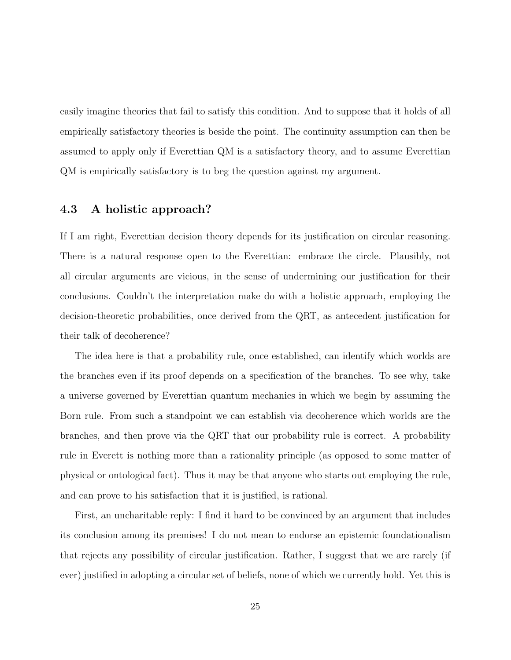easily imagine theories that fail to satisfy this condition. And to suppose that it holds of all empirically satisfactory theories is beside the point. The continuity assumption can then be assumed to apply only if Everettian QM is a satisfactory theory, and to assume Everettian QM is empirically satisfactory is to beg the question against my argument.

#### 4.3 A holistic approach?

If I am right, Everettian decision theory depends for its justification on circular reasoning. There is a natural response open to the Everettian: embrace the circle. Plausibly, not all circular arguments are vicious, in the sense of undermining our justification for their conclusions. Couldn't the interpretation make do with a holistic approach, employing the decision-theoretic probabilities, once derived from the QRT, as antecedent justification for their talk of decoherence?

The idea here is that a probability rule, once established, can identify which worlds are the branches even if its proof depends on a specification of the branches. To see why, take a universe governed by Everettian quantum mechanics in which we begin by assuming the Born rule. From such a standpoint we can establish via decoherence which worlds are the branches, and then prove via the QRT that our probability rule is correct. A probability rule in Everett is nothing more than a rationality principle (as opposed to some matter of physical or ontological fact). Thus it may be that anyone who starts out employing the rule, and can prove to his satisfaction that it is justified, is rational.

First, an uncharitable reply: I find it hard to be convinced by an argument that includes its conclusion among its premises! I do not mean to endorse an epistemic foundationalism that rejects any possibility of circular justification. Rather, I suggest that we are rarely (if ever) justified in adopting a circular set of beliefs, none of which we currently hold. Yet this is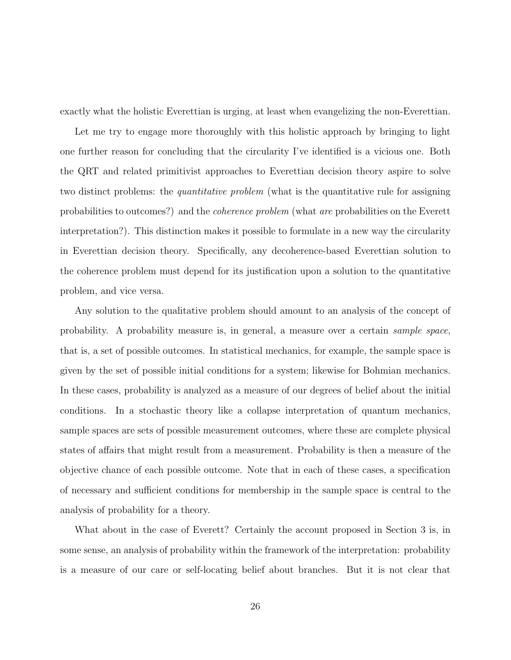exactly what the holistic Everettian is urging, at least when evangelizing the non-Everettian.

Let me try to engage more thoroughly with this holistic approach by bringing to light one further reason for concluding that the circularity I've identified is a vicious one. Both the QRT and related primitivist approaches to Everettian decision theory aspire to solve two distinct problems: the quantitative problem (what is the quantitative rule for assigning probabilities to outcomes?) and the coherence problem (what are probabilities on the Everett interpretation?). This distinction makes it possible to formulate in a new way the circularity in Everettian decision theory. Specifically, any decoherence-based Everettian solution to the coherence problem must depend for its justification upon a solution to the quantitative problem, and vice versa.

Any solution to the qualitative problem should amount to an analysis of the concept of probability. A probability measure is, in general, a measure over a certain sample space, that is, a set of possible outcomes. In statistical mechanics, for example, the sample space is given by the set of possible initial conditions for a system; likewise for Bohmian mechanics. In these cases, probability is analyzed as a measure of our degrees of belief about the initial conditions. In a stochastic theory like a collapse interpretation of quantum mechanics, sample spaces are sets of possible measurement outcomes, where these are complete physical states of affairs that might result from a measurement. Probability is then a measure of the objective chance of each possible outcome. Note that in each of these cases, a specification of necessary and sufficient conditions for membership in the sample space is central to the analysis of probability for a theory.

What about in the case of Everett? Certainly the account proposed in Section 3 is, in some sense, an analysis of probability within the framework of the interpretation: probability is a measure of our care or self-locating belief about branches. But it is not clear that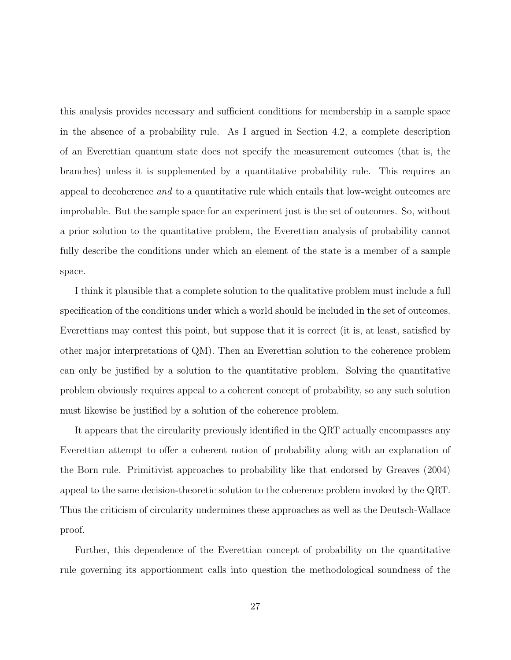this analysis provides necessary and sufficient conditions for membership in a sample space in the absence of a probability rule. As I argued in Section 4.2, a complete description of an Everettian quantum state does not specify the measurement outcomes (that is, the branches) unless it is supplemented by a quantitative probability rule. This requires an appeal to decoherence and to a quantitative rule which entails that low-weight outcomes are improbable. But the sample space for an experiment just is the set of outcomes. So, without a prior solution to the quantitative problem, the Everettian analysis of probability cannot fully describe the conditions under which an element of the state is a member of a sample space.

I think it plausible that a complete solution to the qualitative problem must include a full specification of the conditions under which a world should be included in the set of outcomes. Everettians may contest this point, but suppose that it is correct (it is, at least, satisfied by other major interpretations of QM). Then an Everettian solution to the coherence problem can only be justified by a solution to the quantitative problem. Solving the quantitative problem obviously requires appeal to a coherent concept of probability, so any such solution must likewise be justified by a solution of the coherence problem.

It appears that the circularity previously identified in the QRT actually encompasses any Everettian attempt to offer a coherent notion of probability along with an explanation of the Born rule. Primitivist approaches to probability like that endorsed by Greaves (2004) appeal to the same decision-theoretic solution to the coherence problem invoked by the QRT. Thus the criticism of circularity undermines these approaches as well as the Deutsch-Wallace proof.

Further, this dependence of the Everettian concept of probability on the quantitative rule governing its apportionment calls into question the methodological soundness of the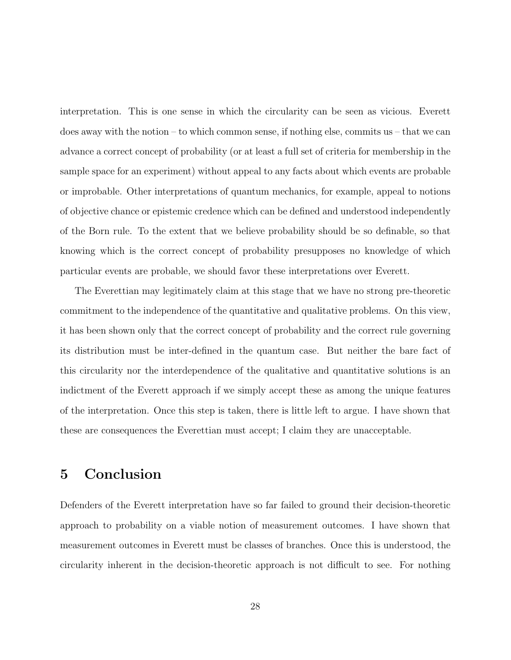interpretation. This is one sense in which the circularity can be seen as vicious. Everett does away with the notion – to which common sense, if nothing else, commits us – that we can advance a correct concept of probability (or at least a full set of criteria for membership in the sample space for an experiment) without appeal to any facts about which events are probable or improbable. Other interpretations of quantum mechanics, for example, appeal to notions of objective chance or epistemic credence which can be defined and understood independently of the Born rule. To the extent that we believe probability should be so definable, so that knowing which is the correct concept of probability presupposes no knowledge of which particular events are probable, we should favor these interpretations over Everett.

The Everettian may legitimately claim at this stage that we have no strong pre-theoretic commitment to the independence of the quantitative and qualitative problems. On this view, it has been shown only that the correct concept of probability and the correct rule governing its distribution must be inter-defined in the quantum case. But neither the bare fact of this circularity nor the interdependence of the qualitative and quantitative solutions is an indictment of the Everett approach if we simply accept these as among the unique features of the interpretation. Once this step is taken, there is little left to argue. I have shown that these are consequences the Everettian must accept; I claim they are unacceptable.

# 5 Conclusion

Defenders of the Everett interpretation have so far failed to ground their decision-theoretic approach to probability on a viable notion of measurement outcomes. I have shown that measurement outcomes in Everett must be classes of branches. Once this is understood, the circularity inherent in the decision-theoretic approach is not difficult to see. For nothing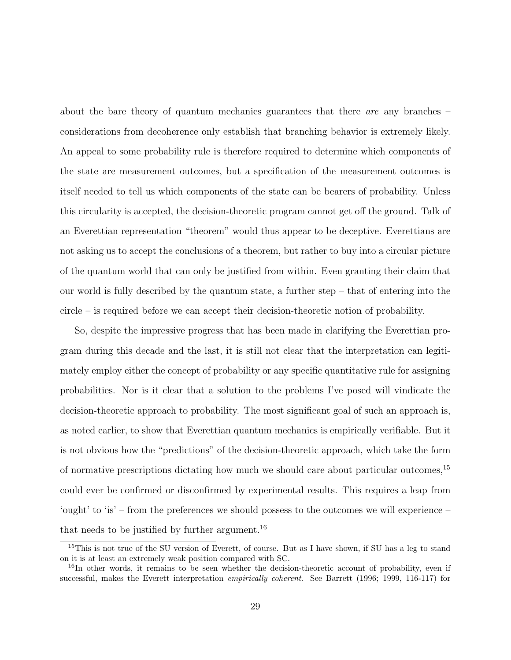about the bare theory of quantum mechanics guarantees that there are any branches – considerations from decoherence only establish that branching behavior is extremely likely. An appeal to some probability rule is therefore required to determine which components of the state are measurement outcomes, but a specification of the measurement outcomes is itself needed to tell us which components of the state can be bearers of probability. Unless this circularity is accepted, the decision-theoretic program cannot get off the ground. Talk of an Everettian representation "theorem" would thus appear to be deceptive. Everettians are not asking us to accept the conclusions of a theorem, but rather to buy into a circular picture of the quantum world that can only be justified from within. Even granting their claim that our world is fully described by the quantum state, a further step – that of entering into the circle – is required before we can accept their decision-theoretic notion of probability.

So, despite the impressive progress that has been made in clarifying the Everettian program during this decade and the last, it is still not clear that the interpretation can legitimately employ either the concept of probability or any specific quantitative rule for assigning probabilities. Nor is it clear that a solution to the problems I've posed will vindicate the decision-theoretic approach to probability. The most significant goal of such an approach is, as noted earlier, to show that Everettian quantum mechanics is empirically verifiable. But it is not obvious how the "predictions" of the decision-theoretic approach, which take the form of normative prescriptions dictating how much we should care about particular outcomes,<sup>15</sup> could ever be confirmed or disconfirmed by experimental results. This requires a leap from 'ought' to 'is' – from the preferences we should possess to the outcomes we will experience – that needs to be justified by further argument.<sup>16</sup>

<sup>&</sup>lt;sup>15</sup>This is not true of the SU version of Everett, of course. But as I have shown, if SU has a leg to stand on it is at least an extremely weak position compared with SC.

<sup>&</sup>lt;sup>16</sup>In other words, it remains to be seen whether the decision-theoretic account of probability, even if successful, makes the Everett interpretation *empirically coherent*. See Barrett (1996; 1999, 116-117) for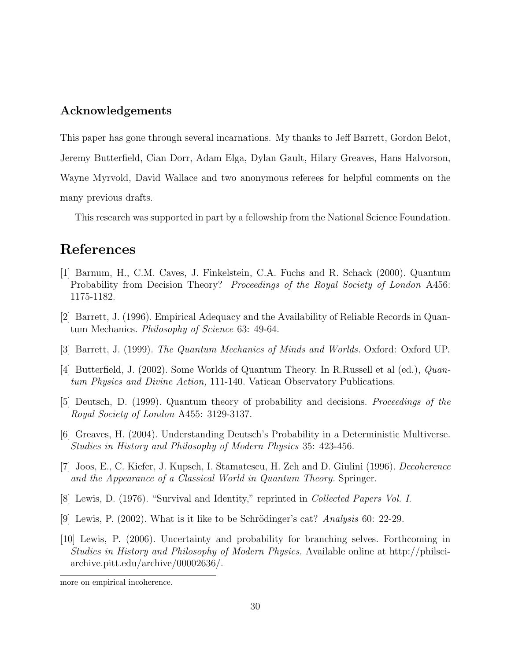#### Acknowledgements

This paper has gone through several incarnations. My thanks to Jeff Barrett, Gordon Belot, Jeremy Butterfield, Cian Dorr, Adam Elga, Dylan Gault, Hilary Greaves, Hans Halvorson, Wayne Myrvold, David Wallace and two anonymous referees for helpful comments on the many previous drafts.

This research was supported in part by a fellowship from the National Science Foundation.

# References

- [1] Barnum, H., C.M. Caves, J. Finkelstein, C.A. Fuchs and R. Schack (2000). Quantum Probability from Decision Theory? *Proceedings of the Royal Society of London* A456: 1175-1182.
- [2] Barrett, J. (1996). Empirical Adequacy and the Availability of Reliable Records in Quantum Mechanics. Philosophy of Science 63: 49-64.
- [3] Barrett, J. (1999). The Quantum Mechanics of Minds and Worlds. Oxford: Oxford UP.
- [4] Butterfield, J. (2002). Some Worlds of Quantum Theory. In R.Russell et al (ed.), Quantum Physics and Divine Action, 111-140. Vatican Observatory Publications.
- [5] Deutsch, D. (1999). Quantum theory of probability and decisions. Proceedings of the Royal Society of London A455: 3129-3137.
- [6] Greaves, H. (2004). Understanding Deutsch's Probability in a Deterministic Multiverse. Studies in History and Philosophy of Modern Physics 35: 423-456.
- [7] Joos, E., C. Kiefer, J. Kupsch, I. Stamatescu, H. Zeh and D. Giulini (1996). Decoherence and the Appearance of a Classical World in Quantum Theory. Springer.
- [8] Lewis, D. (1976). "Survival and Identity," reprinted in Collected Papers Vol. I.
- [9] Lewis, P.  $(2002)$ . What is it like to be Schrödinger's cat? *Analysis* 60: 22-29.
- [10] Lewis, P. (2006). Uncertainty and probability for branching selves. Forthcoming in Studies in History and Philosophy of Modern Physics. Available online at http://philsciarchive.pitt.edu/archive/00002636/.

more on empirical incoherence.